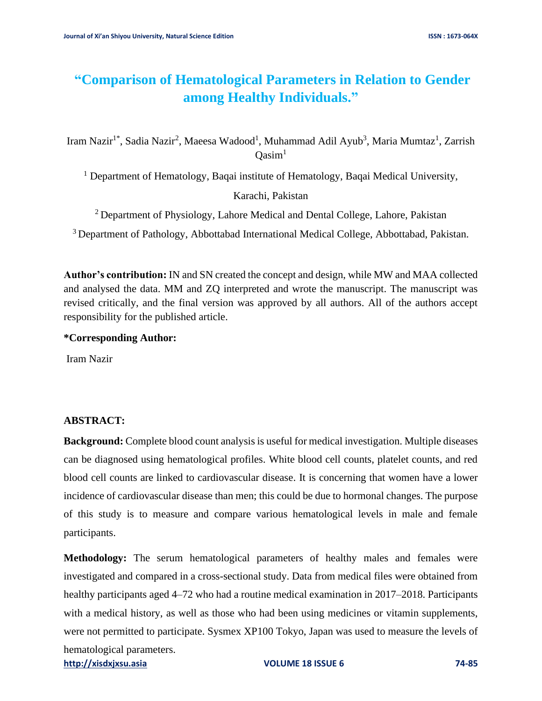# **"Comparison of Hematological Parameters in Relation to Gender among Healthy Individuals."**

Iram Nazir<sup>1\*</sup>, Sadia Nazir<sup>2</sup>, Maeesa Wadood<sup>1</sup>, Muhammad Adil Ayub<sup>3</sup>, Maria Mumtaz<sup>1</sup>, Zarrish  $Oasim<sup>1</sup>$ 

<sup>1</sup> Department of Hematology, Baqai institute of Hematology, Baqai Medical University,

Karachi, Pakistan

<sup>2</sup> Department of Physiology, Lahore Medical and Dental College, Lahore, Pakistan

<sup>3</sup> Department of Pathology, Abbottabad International Medical College, Abbottabad, Pakistan.

**Author's contribution:** IN and SN created the concept and design, while MW and MAA collected and analysed the data. MM and ZQ interpreted and wrote the manuscript. The manuscript was revised critically, and the final version was approved by all authors. All of the authors accept responsibility for the published article.

**\*Corresponding Author:**

Iram Nazir

### **ABSTRACT:**

**Background:** Complete blood count analysis is useful for medical investigation. Multiple diseases can be diagnosed using hematological profiles. White blood cell counts, platelet counts, and red blood cell counts are linked to cardiovascular disease. It is concerning that women have a lower incidence of cardiovascular disease than men; this could be due to hormonal changes. The purpose of this study is to measure and compare various hematological levels in male and female participants.

**[http://xisdxjxsu.asia](http://xisdxjxsu.asia/) VOLUME 18 ISSUE 6 74-85 Methodology:** The serum hematological parameters of healthy males and females were investigated and compared in a cross-sectional study. Data from medical files were obtained from healthy participants aged 4–72 who had a routine medical examination in 2017–2018. Participants with a medical history, as well as those who had been using medicines or vitamin supplements, were not permitted to participate. Sysmex XP100 Tokyo, Japan was used to measure the levels of hematological parameters.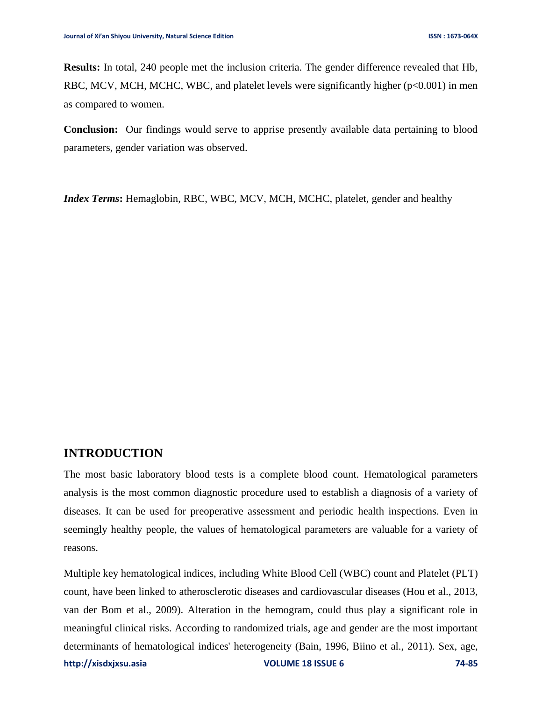**Results:** In total, 240 people met the inclusion criteria. The gender difference revealed that Hb, RBC, MCV, MCH, MCHC, WBC, and platelet levels were significantly higher ( $p<0.001$ ) in men as compared to women.

**Conclusion:** Our findings would serve to apprise presently available data pertaining to blood parameters, gender variation was observed.

*Index Terms***:** Hemaglobin, RBC, WBC, MCV, MCH, MCHC, platelet, gender and healthy

### **INTRODUCTION**

The most basic laboratory blood tests is a complete blood count. Hematological parameters analysis is the most common diagnostic procedure used to establish a diagnosis of a variety of diseases. It can be used for preoperative assessment and periodic health inspections. Even in seemingly healthy people, the values of hematological parameters are valuable for a variety of reasons.

**[http://xisdxjxsu.asia](http://xisdxjxsu.asia/) VOLUME 18 ISSUE 6 74-85** Multiple key hematological indices, including White Blood Cell (WBC) count and Platelet (PLT) count, have been linked to atherosclerotic diseases and cardiovascular diseases [\(Hou et al., 2013,](#page-10-0) [van der Bom et al., 2009\)](#page-11-0). Alteration in the hemogram, could thus play a significant role in meaningful clinical risks. According to randomized trials, age and gender are the most important determinants of hematological indices' heterogeneity [\(Bain, 1996,](#page-10-1) [Biino et al., 2011\)](#page-10-2). Sex, age,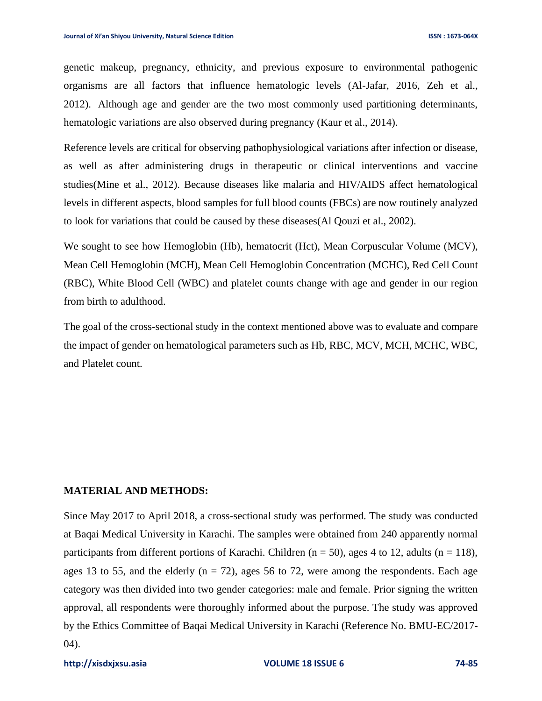genetic makeup, pregnancy, ethnicity, and previous exposure to environmental pathogenic organisms are all factors that influence hematologic levels [\(Al-Jafar, 2016,](#page-10-3) [Zeh et al.,](#page-11-1)  [2012\)](#page-11-1). Although age and gender are the two most commonly used partitioning determinants, hematologic variations are also observed during pregnancy [\(Kaur et al., 2014\)](#page-10-4).

Reference levels are critical for observing pathophysiological variations after infection or disease, as well as after administering drugs in therapeutic or clinical interventions and vaccine studies[\(Mine et al., 2012\)](#page-10-5). Because diseases like malaria and HIV/AIDS affect hematological levels in different aspects, blood samples for full blood counts (FBCs) are now routinely analyzed to look for variations that could be caused by these diseases[\(Al Qouzi et al., 2002\)](#page-10-6).

We sought to see how Hemoglobin (Hb), hematocrit (Hct), Mean Corpuscular Volume (MCV), Mean Cell Hemoglobin (MCH), Mean Cell Hemoglobin Concentration (MCHC), Red Cell Count (RBC), White Blood Cell (WBC) and platelet counts change with age and gender in our region from birth to adulthood.

The goal of the cross-sectional study in the context mentioned above was to evaluate and compare the impact of gender on hematological parameters such as Hb, RBC, MCV, MCH, MCHC, WBC, and Platelet count.

#### **MATERIAL AND METHODS:**

Since May 2017 to April 2018, a cross-sectional study was performed. The study was conducted at Baqai Medical University in Karachi. The samples were obtained from 240 apparently normal participants from different portions of Karachi. Children ( $n = 50$ ), ages 4 to 12, adults ( $n = 118$ ), ages 13 to 55, and the elderly  $(n = 72)$ , ages 56 to 72, were among the respondents. Each age category was then divided into two gender categories: male and female. Prior signing the written approval, all respondents were thoroughly informed about the purpose. The study was approved by the Ethics Committee of Baqai Medical University in Karachi (Reference No. BMU-EC/2017- 04).

#### **[http://xisdxjxsu.asia](http://xisdxjxsu.asia/) VOLUME 18 ISSUE 6 74-85**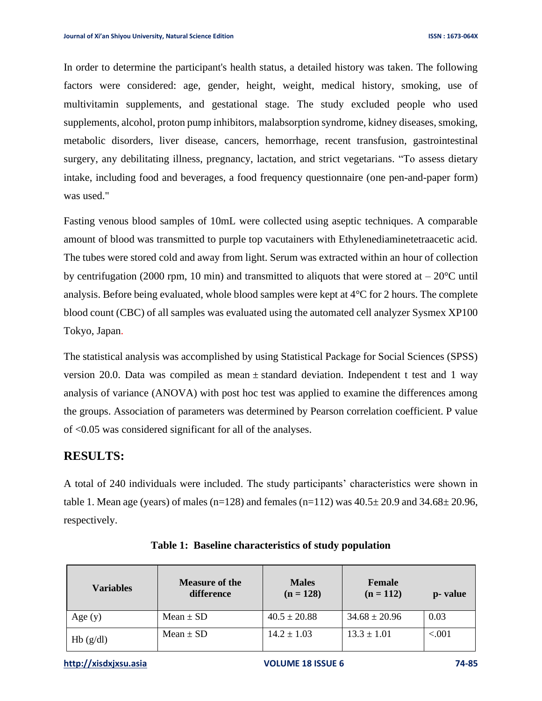In order to determine the participant's health status, a detailed history was taken. The following factors were considered: age, gender, height, weight, medical history, smoking, use of multivitamin supplements, and gestational stage. The study excluded people who used supplements, alcohol, proton pump inhibitors, malabsorption syndrome, kidney diseases, smoking, metabolic disorders, liver disease, cancers, hemorrhage, recent transfusion, gastrointestinal surgery, any debilitating illness, pregnancy, lactation, and strict vegetarians. "To assess dietary intake, including food and beverages, a food frequency questionnaire (one pen-and-paper form) was used."

Fasting venous blood samples of 10mL were collected using aseptic techniques. A comparable amount of blood was transmitted to purple top vacutainers with Ethylenediaminetetraacetic acid. The tubes were stored cold and away from light. Serum was extracted within an hour of collection by centrifugation (2000 rpm, 10 min) and transmitted to aliquots that were stored at  $-20^{\circ}$ C until analysis. Before being evaluated, whole blood samples were kept at 4°C for 2 hours. The complete blood count (CBC) of all samples was evaluated using the automated cell analyzer Sysmex XP100 Tokyo, Japan.

The statistical analysis was accomplished by using Statistical Package for Social Sciences (SPSS) version 20.0. Data was compiled as mean  $\pm$  standard deviation. Independent t test and 1 way analysis of variance (ANOVA) with post hoc test was applied to examine the differences among the groups. Association of parameters was determined by Pearson correlation coefficient. P value of <0.05 was considered significant for all of the analyses.

## **RESULTS:**

A total of 240 individuals were included. The study participants' characteristics were shown in table 1. Mean age (years) of males (n=128) and females (n=112) was  $40.5 \pm 20.9$  and  $34.68 \pm 20.96$ , respectively.

| <b>Variables</b> | <b>Measure of the</b><br>difference | <b>Males</b><br>$(n = 128)$ | <b>Female</b><br>$(n = 112)$ | p- value |
|------------------|-------------------------------------|-----------------------------|------------------------------|----------|
| Age $(y)$        | Mean $\pm$ SD                       | $40.5 \pm 20.88$            | $34.68 \pm 20.96$            | 0.03     |
| Hb(g/dl)         | $Mean \pm SD$                       | $14.2 \pm 1.03$             | $13.3 \pm 1.01$              | ${<}001$ |

**Table 1: Baseline characteristics of study population**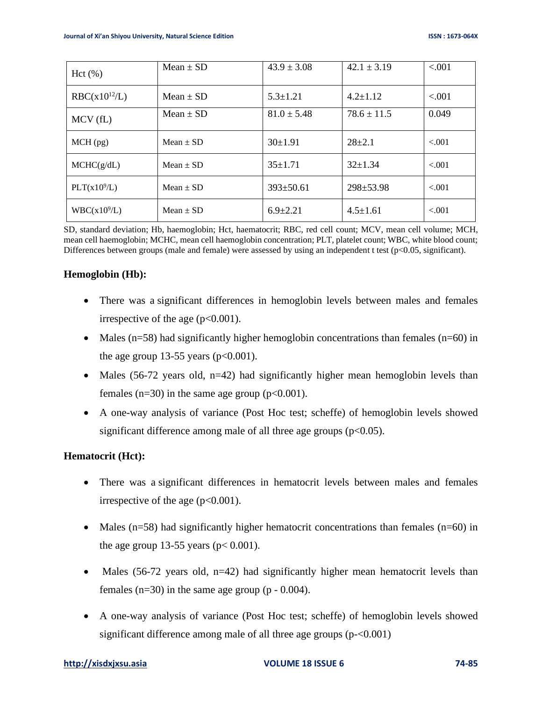| Hct(%)                   | Mean $\pm$ SD | $43.9 \pm 3.08$ | $42.1 \pm 3.19$ | < 0.001 |
|--------------------------|---------------|-----------------|-----------------|---------|
| $RBC(x10^{12}/L)$        | Mean $\pm$ SD | $5.3 \pm 1.21$  | $4.2 \pm 1.12$  | < 0.01  |
| MCV(fL)                  | Mean $\pm$ SD | $81.0 \pm 5.48$ | $78.6 \pm 11.5$ | 0.049   |
| $MCH$ (pg)               | $Mean \pm SD$ | $30 \pm 1.91$   | $28+2.1$        | < 0.001 |
| MCHC(g/dL)               | $Mean \pm SD$ | $35 \pm 1.71$   | $32+1.34$       | $-.001$ |
| PLT(x10 <sup>9</sup> /L) | Mean $\pm$ SD | $393 \pm 50.61$ | $298 \pm 53.98$ | < 0.001 |
| WBC(x10 <sup>9</sup> /L) | $Mean \pm SD$ | $6.9 \pm 2.21$  | $4.5 \pm 1.61$  | $-.001$ |

SD, standard deviation; Hb, haemoglobin; Hct, haematocrit; RBC, red cell count; MCV, mean cell volume; MCH, mean cell haemoglobin; MCHC, mean cell haemoglobin concentration; PLT, platelet count; WBC, white blood count; Differences between groups (male and female) were assessed by using an independent t test ( $p<0.05$ , significant).

#### **Hemoglobin (Hb):**

- There was a significant differences in hemoglobin levels between males and females irrespective of the age  $(p<0.001)$ .
- Males  $(n=58)$  had significantly higher hemoglobin concentrations than females  $(n=60)$  in the age group 13-55 years ( $p<0.001$ ).
- Males (56-72 years old, n=42) had significantly higher mean hemoglobin levels than females (n=30) in the same age group ( $p<0.001$ ).
- A one-way analysis of variance (Post Hoc test; scheffe) of hemoglobin levels showed significant difference among male of all three age groups  $(p<0.05)$ .

### **Hematocrit (Hct):**

- There was a significant differences in hematocrit levels between males and females irrespective of the age  $(p<0.001)$ .
- Males  $(n=58)$  had significantly higher hematocrit concentrations than females  $(n=60)$  in the age group 13-55 years ( $p < 0.001$ ).
- Males (56-72 years old,  $n=42$ ) had significantly higher mean hematocrit levels than females  $(n=30)$  in the same age group  $(p - 0.004)$ .
- A one-way analysis of variance (Post Hoc test; scheffe) of hemoglobin levels showed significant difference among male of all three age groups (p-<0.001)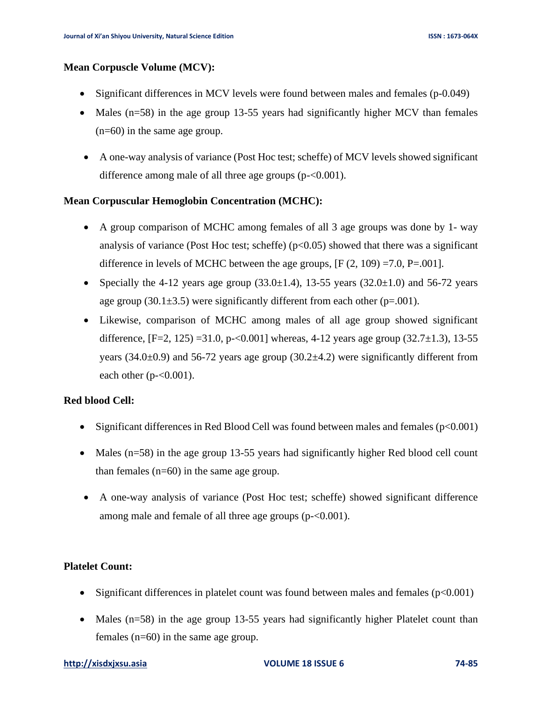#### **Mean Corpuscle Volume (MCV):**

- Significant differences in MCV levels were found between males and females (p-0.049)
- Males (n=58) in the age group 13-55 years had significantly higher MCV than females (n=60) in the same age group.
- A one-way analysis of variance (Post Hoc test; scheffe) of MCV levels showed significant difference among male of all three age groups (p-<0.001).

#### **Mean Corpuscular Hemoglobin Concentration (MCHC):**

- A group comparison of MCHC among females of all 3 age groups was done by 1- way analysis of variance (Post Hoc test; scheffe)  $(p<0.05)$  showed that there was a significant difference in levels of MCHC between the age groups,  $[F (2, 109) = 7.0, P = .001]$ .
- Specially the 4-12 years age group  $(33.0 \pm 1.4)$ , 13-55 years  $(32.0 \pm 1.0)$  and 56-72 years age group (30.1 $\pm$ 3.5) were significantly different from each other (p=.001).
- Likewise, comparison of MCHC among males of all age group showed significant difference,  $[F=2, 125) = 31.0$ , p $\leq 0.001$ ] whereas, 4-12 years age group  $(32.7 \pm 1.3)$ , 13-55 years (34.0 $\pm$ 0.9) and 56-72 years age group (30.2 $\pm$ 4.2) were significantly different from each other  $(p<0.001)$ .

#### **Red blood Cell:**

- Significant differences in Red Blood Cell was found between males and females  $(p<0.001)$
- Males (n=58) in the age group 13-55 years had significantly higher Red blood cell count than females (n=60) in the same age group.
- A one-way analysis of variance (Post Hoc test; scheffe) showed significant difference among male and female of all three age groups (p-<0.001).

### **Platelet Count:**

- Significant differences in platelet count was found between males and females  $(p<0.001)$
- Males (n=58) in the age group 13-55 years had significantly higher Platelet count than females (n=60) in the same age group.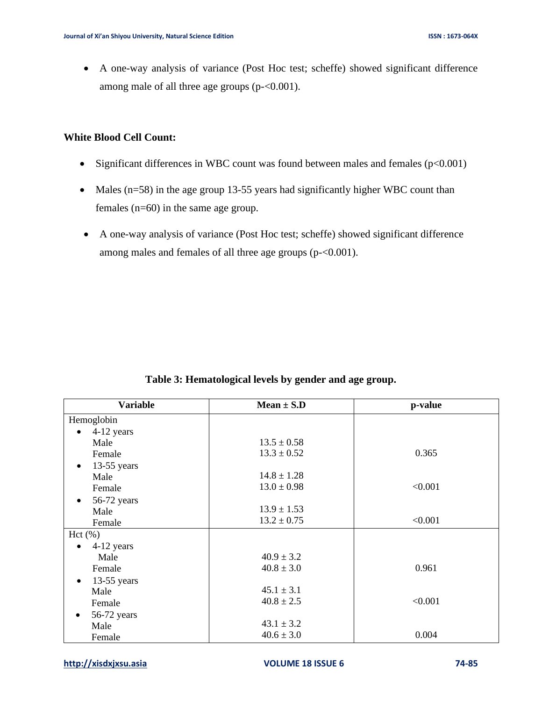• A one-way analysis of variance (Post Hoc test; scheffe) showed significant difference among male of all three age groups (p-<0.001).

### **White Blood Cell Count:**

- Significant differences in WBC count was found between males and females  $(p<0.001)$
- Males (n=58) in the age group 13-55 years had significantly higher WBC count than females (n=60) in the same age group.
- A one-way analysis of variance (Post Hoc test; scheffe) showed significant difference among males and females of all three age groups (p-<0.001).

| <b>Variable</b>            | $Mean \pm S.D$  | p-value |
|----------------------------|-----------------|---------|
| Hemoglobin                 |                 |         |
| 4-12 years<br>$\bullet$    |                 |         |
| Male                       | $13.5 \pm 0.58$ |         |
| Female                     | $13.3 \pm 0.52$ | 0.365   |
| $13-55$ years<br>$\bullet$ |                 |         |
| Male                       | $14.8 \pm 1.28$ |         |
| Female                     | $13.0 \pm 0.98$ | < 0.001 |
| 56-72 years<br>$\bullet$   |                 |         |
| Male                       | $13.9 \pm 1.53$ |         |
| Female                     | $13.2 \pm 0.75$ | < 0.001 |
| Hct(%)                     |                 |         |
| 4-12 years                 |                 |         |
| Male                       | $40.9 \pm 3.2$  |         |
| Female                     | $40.8 \pm 3.0$  | 0.961   |
| $13-55$ years<br>$\bullet$ |                 |         |
| Male                       | $45.1 \pm 3.1$  |         |
| Female                     | $40.8 \pm 2.5$  | < 0.001 |
| 56-72 years<br>$\bullet$   |                 |         |
| Male                       | $43.1 \pm 3.2$  |         |
| Female                     | $40.6 \pm 3.0$  | 0.004   |

#### **Table 3: Hematological levels by gender and age group.**

#### **[http://xisdxjxsu.asia](http://xisdxjxsu.asia/) VOLUME 18 ISSUE 6 74-85**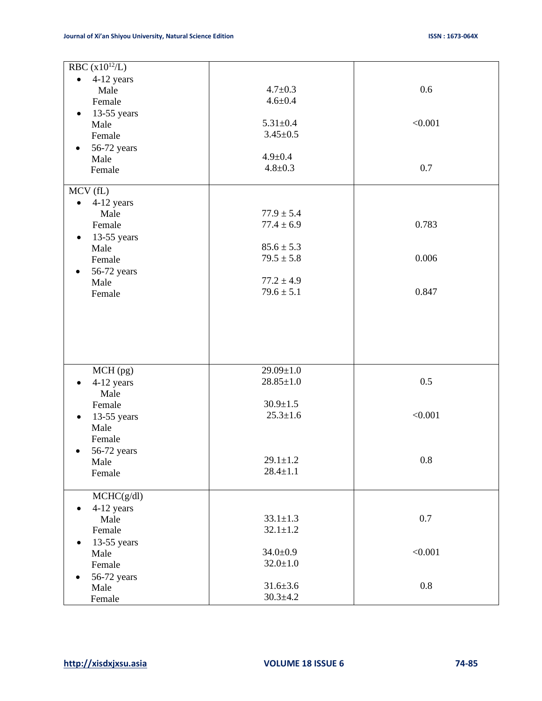| RBC $(x10^{12}/L)$       |                 |         |
|--------------------------|-----------------|---------|
| 4-12 years<br>$\bullet$  |                 |         |
| Male                     | $4.7 \pm 0.3$   | 0.6     |
| Female                   | $4.6 + 0.4$     |         |
|                          |                 |         |
| $13-55$ years<br>٠       | $5.31 \pm 0.4$  | < 0.001 |
| Male                     |                 |         |
| Female                   | $3.45 \pm 0.5$  |         |
| 56-72 years              |                 |         |
| Male                     | $4.9 \pm 0.4$   |         |
| Female                   | $4.8 \pm 0.3$   | 0.7     |
| MCV (fL)                 |                 |         |
| 4-12 years<br>$\bullet$  |                 |         |
| Male                     | $77.9 \pm 5.4$  |         |
| Female                   | $77.4 \pm 6.9$  | 0.783   |
| 13-55 years<br>$\bullet$ |                 |         |
| Male                     | $85.6 \pm 5.3$  |         |
| Female                   | $79.5 \pm 5.8$  | 0.006   |
|                          |                 |         |
| 56-72 years              | $77.2 \pm 4.9$  |         |
| Male                     | $79.6 \pm 5.1$  | 0.847   |
| Female                   |                 |         |
|                          |                 |         |
|                          |                 |         |
|                          |                 |         |
|                          |                 |         |
|                          |                 |         |
|                          | $29.09 \pm 1.0$ |         |
| MCH (pg)                 | $28.85 \pm 1.0$ | 0.5     |
| 4-12 years               |                 |         |
| Male                     |                 |         |
| Female                   | $30.9 \pm 1.5$  |         |
| 13-55 years<br>$\bullet$ | $25.3 \pm 1.6$  | < 0.001 |
| Male                     |                 |         |
| Female                   |                 |         |
| 56-72 years              |                 |         |
| Male                     | $29.1 \pm 1.2$  | $0.8\,$ |
| Female                   | $28.4 \pm 1.1$  |         |
|                          |                 |         |
| MCHC(g/dl)               |                 |         |
| 4-12 years               |                 |         |
| Male                     | $33.1 \pm 1.3$  | 0.7     |
| Female                   | $32.1 \pm 1.2$  |         |
| 13-55 years              |                 |         |
| Male                     | $34.0 \pm 0.9$  | < 0.001 |
| Female                   | $32.0 \pm 1.0$  |         |
| 56-72 years              |                 |         |
| Male                     | $31.6 \pm 3.6$  | 0.8     |
|                          | $30.3 + 4.2$    |         |
| Female                   |                 |         |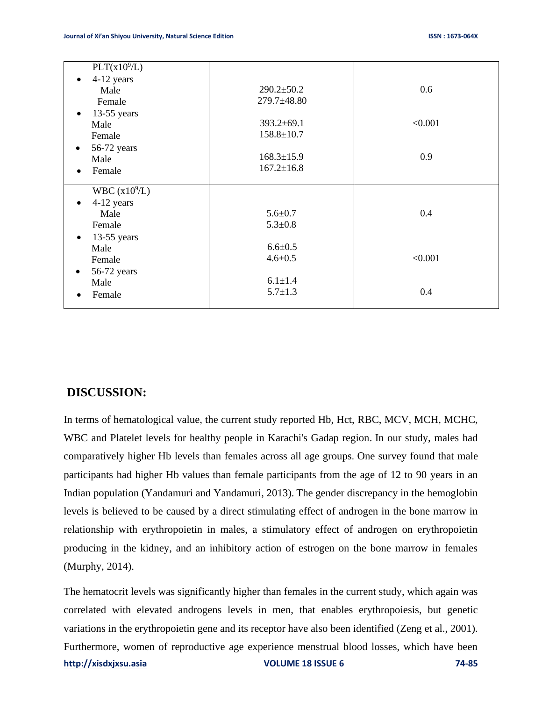| PLT(x10 <sup>9</sup> /L)   |                  |         |
|----------------------------|------------------|---------|
| 4-12 years<br>$\bullet$    |                  |         |
| Male                       | $290.2 \pm 50.2$ | 0.6     |
| Female                     | 279.7±48.80      |         |
| $13-55$ years<br>$\bullet$ |                  |         |
| Male                       | $393.2 \pm 69.1$ | < 0.001 |
| Female                     | $158.8 \pm 10.7$ |         |
| 56-72 years<br>$\bullet$   |                  |         |
| Male                       | $168.3 \pm 15.9$ | 0.9     |
| Female<br>$\bullet$        | $167.2 \pm 16.8$ |         |
|                            |                  |         |
| WBC $(x10^9/L)$            |                  |         |
| 4-12 years<br>$\bullet$    |                  |         |
| Male                       | $5.6 \pm 0.7$    | 0.4     |
| Female                     | $5.3 \pm 0.8$    |         |
| $13-55$ years<br>$\bullet$ |                  |         |
| Male                       | $6.6 \pm 0.5$    |         |
| Female                     | $4.6 \pm 0.5$    | < 0.001 |
| 56-72 years<br>$\bullet$   |                  |         |
| Male                       | $6.1 \pm 1.4$    |         |
| Female                     | $5.7 \pm 1.3$    | 0.4     |
|                            |                  |         |

# **DISCUSSION:**

In terms of hematological value, the current study reported Hb, Hct, RBC, MCV, MCH, MCHC, WBC and Platelet levels for healthy people in Karachi's Gadap region. In our study, males had comparatively higher Hb levels than females across all age groups. One survey found that male participants had higher Hb values than female participants from the age of 12 to 90 years in an Indian population [\(Yandamuri and Yandamuri, 2013\)](#page-11-2). The gender discrepancy in the hemoglobin levels is believed to be caused by a direct stimulating effect of androgen in the bone marrow in relationship with erythropoietin in males, a stimulatory effect of androgen on erythropoietin producing in the kidney, and an inhibitory action of estrogen on the bone marrow in females [\(Murphy, 2014\)](#page-10-7).

**[http://xisdxjxsu.asia](http://xisdxjxsu.asia/) VOLUME 18 ISSUE 6 74-85** The hematocrit levels was significantly higher than females in the current study, which again was correlated with elevated androgens levels in men, that enables erythropoiesis, but genetic variations in the erythropoietin gene and its receptor have also been identified [\(Zeng et al., 2001\)](#page-11-3). Furthermore, women of reproductive age experience menstrual blood losses, which have been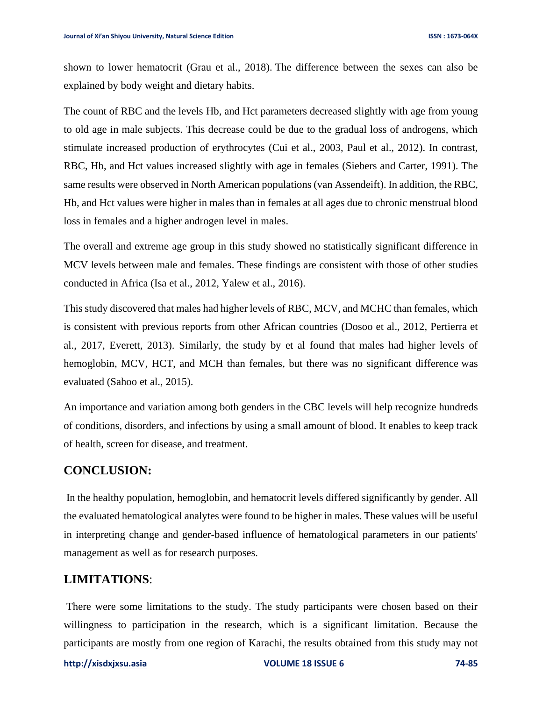shown to lower hematocrit [\(Grau et al., 2018\)](#page-10-8). The difference between the sexes can also be explained by body weight and dietary habits.

The count of RBC and the levels Hb, and Hct parameters decreased slightly with age from young to old age in male subjects. This decrease could be due to the gradual loss of androgens, which stimulate increased production of erythrocytes [\(Cui et al., 2003,](#page-10-9) [Paul et al., 2012\)](#page-11-4). In contrast, RBC, Hb, and Hct values increased slightly with age in females [\(Siebers and Carter, 1991\)](#page-11-5). The same results were observed in North American populations [\(van Assendeift\)](#page-11-6). In addition, the RBC, Hb, and Hct values were higher in males than in females at all ages due to chronic menstrual blood loss in females and a higher androgen level in males.

The overall and extreme age group in this study showed no statistically significant difference in MCV levels between male and females. These findings are consistent with those of other studies conducted in Africa [\(Isa et al., 2012,](#page-10-10) [Yalew et al., 2016\)](#page-11-7).

This study discovered that males had higher levels of RBC, MCV, and MCHC than females, which is consistent with previous reports from other African countries [\(Dosoo et al., 2012,](#page-10-11) [Pertierra et](#page-11-8)  [al., 2017,](#page-11-8) [Everett, 2013\)](#page-10-12). Similarly, the study by et al found that males had higher levels of hemoglobin, MCV, HCT, and MCH than females, but there was no significant difference was evaluated [\(Sahoo et al., 2015\)](#page-11-9).

An importance and variation among both genders in the CBC levels will help recognize hundreds of conditions, disorders, and infections by using a small amount of blood. It enables to keep track of health, screen for disease, and treatment.

### **CONCLUSION:**

In the healthy population, hemoglobin, and hematocrit levels differed significantly by gender. All the evaluated hematological analytes were found to be higher in males. These values will be useful in interpreting change and gender-based influence of hematological parameters in our patients' management as well as for research purposes.

### **LIMITATIONS**:

There were some limitations to the study. The study participants were chosen based on their willingness to participation in the research, which is a significant limitation. Because the participants are mostly from one region of Karachi, the results obtained from this study may not

#### **[http://xisdxjxsu.asia](http://xisdxjxsu.asia/) VOLUME 18 ISSUE 6 74-85**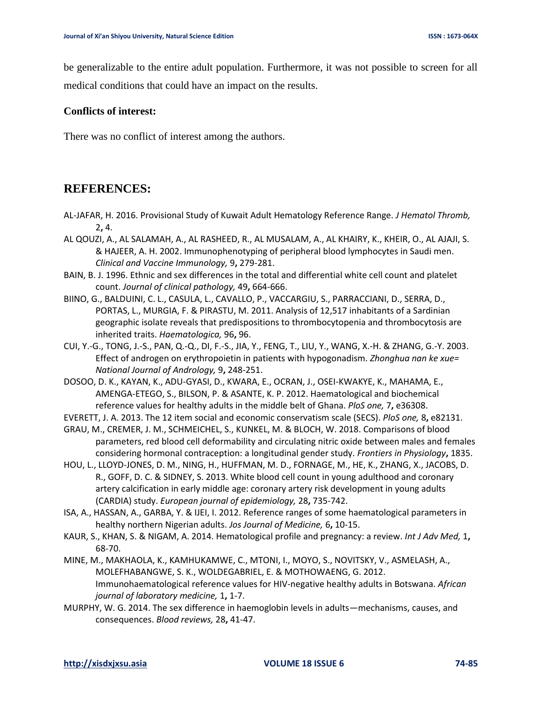be generalizable to the entire adult population. Furthermore, it was not possible to screen for all medical conditions that could have an impact on the results.

#### **Conflicts of interest:**

There was no conflict of interest among the authors.

# **REFERENCES:**

- <span id="page-10-3"></span>AL-JAFAR, H. 2016. Provisional Study of Kuwait Adult Hematology Reference Range. *J Hematol Thromb,* 2**,** 4.
- <span id="page-10-6"></span>AL QOUZI, A., AL SALAMAH, A., AL RASHEED, R., AL MUSALAM, A., AL KHAIRY, K., KHEIR, O., AL AJAJI, S. & HAJEER, A. H. 2002. Immunophenotyping of peripheral blood lymphocytes in Saudi men. *Clinical and Vaccine Immunology,* 9**,** 279-281.
- <span id="page-10-1"></span>BAIN, B. J. 1996. Ethnic and sex differences in the total and differential white cell count and platelet count. *Journal of clinical pathology,* 49**,** 664-666.
- <span id="page-10-2"></span>BIINO, G., BALDUINI, C. L., CASULA, L., CAVALLO, P., VACCARGIU, S., PARRACCIANI, D., SERRA, D., PORTAS, L., MURGIA, F. & PIRASTU, M. 2011. Analysis of 12,517 inhabitants of a Sardinian geographic isolate reveals that predispositions to thrombocytopenia and thrombocytosis are inherited traits. *Haematologica,* 96**,** 96.
- <span id="page-10-9"></span>CUI, Y.-G., TONG, J.-S., PAN, Q.-Q., DI, F.-S., JIA, Y., FENG, T., LIU, Y., WANG, X.-H. & ZHANG, G.-Y. 2003. Effect of androgen on erythropoietin in patients with hypogonadism. *Zhonghua nan ke xue= National Journal of Andrology,* 9**,** 248-251.
- <span id="page-10-11"></span>DOSOO, D. K., KAYAN, K., ADU-GYASI, D., KWARA, E., OCRAN, J., OSEI-KWAKYE, K., MAHAMA, E., AMENGA-ETEGO, S., BILSON, P. & ASANTE, K. P. 2012. Haematological and biochemical reference values for healthy adults in the middle belt of Ghana. *PloS one,* 7**,** e36308.
- <span id="page-10-12"></span>EVERETT, J. A. 2013. The 12 item social and economic conservatism scale (SECS). *PloS one,* 8**,** e82131.
- <span id="page-10-8"></span>GRAU, M., CREMER, J. M., SCHMEICHEL, S., KUNKEL, M. & BLOCH, W. 2018. Comparisons of blood parameters, red blood cell deformability and circulating nitric oxide between males and females considering hormonal contraception: a longitudinal gender study. *Frontiers in Physiology***,** 1835.
- <span id="page-10-0"></span>HOU, L., LLOYD-JONES, D. M., NING, H., HUFFMAN, M. D., FORNAGE, M., HE, K., ZHANG, X., JACOBS, D. R., GOFF, D. C. & SIDNEY, S. 2013. White blood cell count in young adulthood and coronary artery calcification in early middle age: coronary artery risk development in young adults (CARDIA) study. *European journal of epidemiology,* 28**,** 735-742.
- <span id="page-10-10"></span>ISA, A., HASSAN, A., GARBA, Y. & IJEI, I. 2012. Reference ranges of some haematological parameters in healthy northern Nigerian adults. *Jos Journal of Medicine,* 6**,** 10-15.
- <span id="page-10-4"></span>KAUR, S., KHAN, S. & NIGAM, A. 2014. Hematological profile and pregnancy: a review. *Int J Adv Med,* 1**,** 68-70.
- <span id="page-10-5"></span>MINE, M., MAKHAOLA, K., KAMHUKAMWE, C., MTONI, I., MOYO, S., NOVITSKY, V., ASMELASH, A., MOLEFHABANGWE, S. K., WOLDEGABRIEL, E. & MOTHOWAENG, G. 2012. Immunohaematological reference values for HIV-negative healthy adults in Botswana. *African journal of laboratory medicine,* 1**,** 1-7.
- <span id="page-10-7"></span>MURPHY, W. G. 2014. The sex difference in haemoglobin levels in adults—mechanisms, causes, and consequences. *Blood reviews,* 28**,** 41-47.